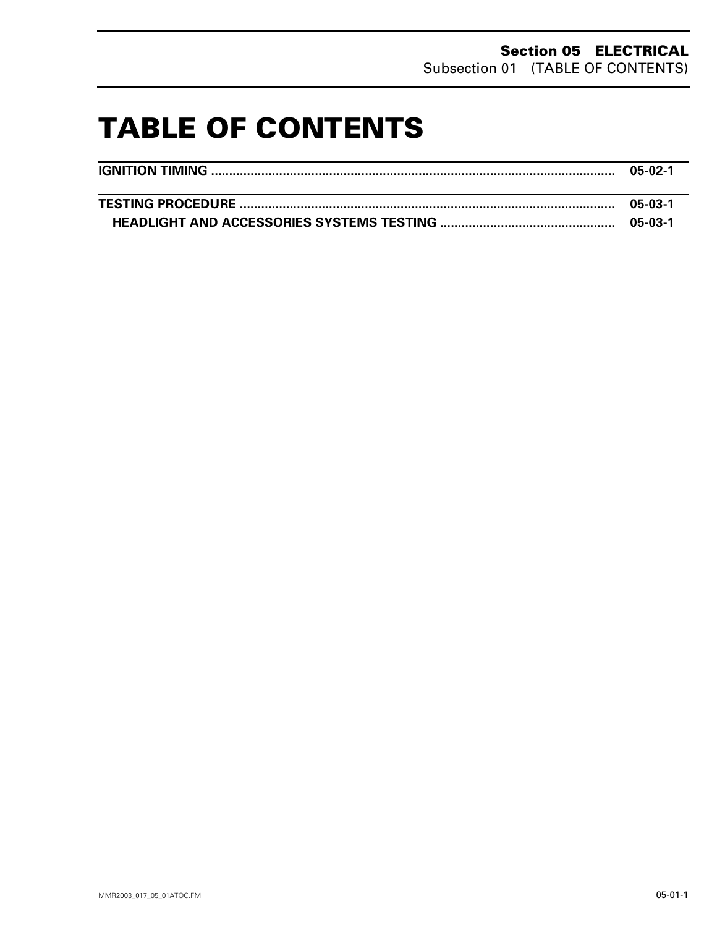# **TABLE OF CONTENTS 0**

| 05-02-1 |
|---------|
|         |
| 05-03-1 |
|         |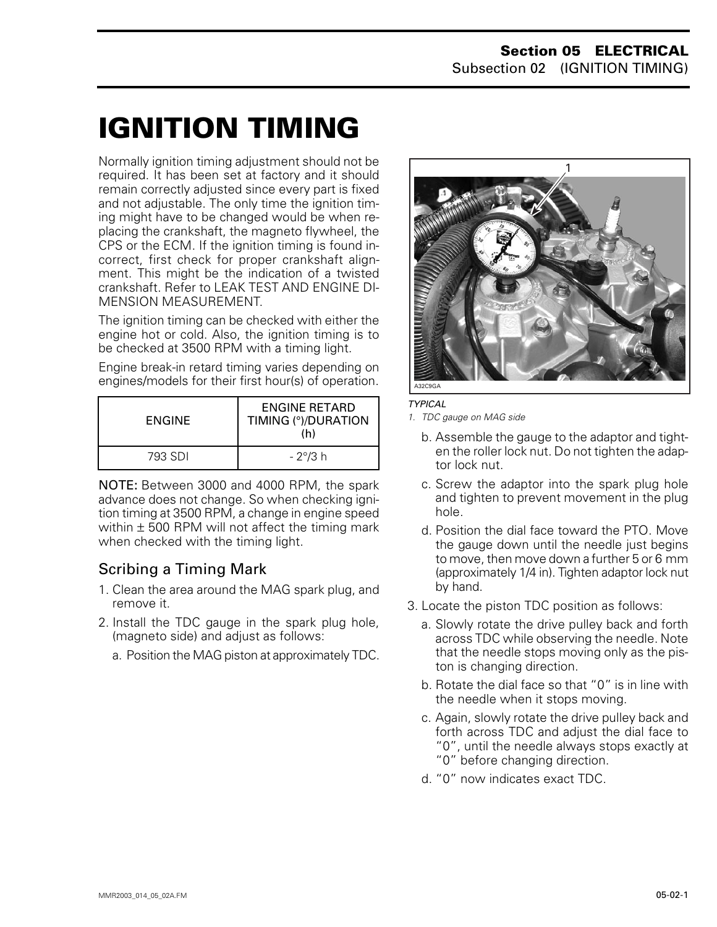# <span id="page-1-0"></span>**IGNITION TIMING 0**

Normally ignition timing adjustment should not be required. It has been set at factory and it should remain correctly adjusted since every part is fixed and not adjustable. The only time the ignition timing might have to be changed would be when replacing the crankshaft, the magneto flywheel, the CPS or the ECM. If the ignition timing is found incorrect, first check for proper crankshaft alignment. This might be the indication of a twisted crankshaft. Refer to LEAK TEST AND ENGINE DI-MENSION MEASUREMENT.

The ignition timing can be checked with either the engine hot or cold. Also, the ignition timing is to be checked at 3500 RPM with a timing light.

Engine break-in retard timing varies depending on engines/models for their first hour(s) of operation.

| ENGINE  | ENGINE RETARD<br>TIMING (°)/DURATION<br>(h) |
|---------|---------------------------------------------|
| 793 SDI | - 2°/3 h                                    |

NOTE: Between 3000 and 4000 RPM, the spark advance does not change. So when checking ignition timing at 3500 RPM, a change in engine speed within  $\pm$  500 RPM will not affect the timing mark when checked with the timing light.

## Scribing a Timing Mark

- 1. Clean the area around the MAG spark plug, and remove it.
- 2. Install the TDC gauge in the spark plug hole, (magneto side) and adjust as follows:
	- a. Position the MAG piston at approximately TDC.



*TYPICAL*

*1. TDC gauge on MAG side*

- b. Assemble the gauge to the adaptor and tighten the roller lock nut. Do not tighten the adaptor lock nut.
- c. Screw the adaptor into the spark plug hole and tighten to prevent movement in the plug hole.
- d. Position the dial face toward the PTO. Move the gauge down until the needle just begins to move, then move down a further 5 or 6 mm (approximately 1/4 in). Tighten adaptor lock nut by hand.
- 3. Locate the piston TDC position as follows:
	- a. Slowly rotate the drive pulley back and forth across TDC while observing the needle. Note that the needle stops moving only as the piston is changing direction.
	- b. Rotate the dial face so that "0" is in line with the needle when it stops moving.
	- c. Again, slowly rotate the drive pulley back and forth across TDC and adjust the dial face to "0", until the needle always stops exactly at "0" before changing direction.
	- d. "0" now indicates exact TDC.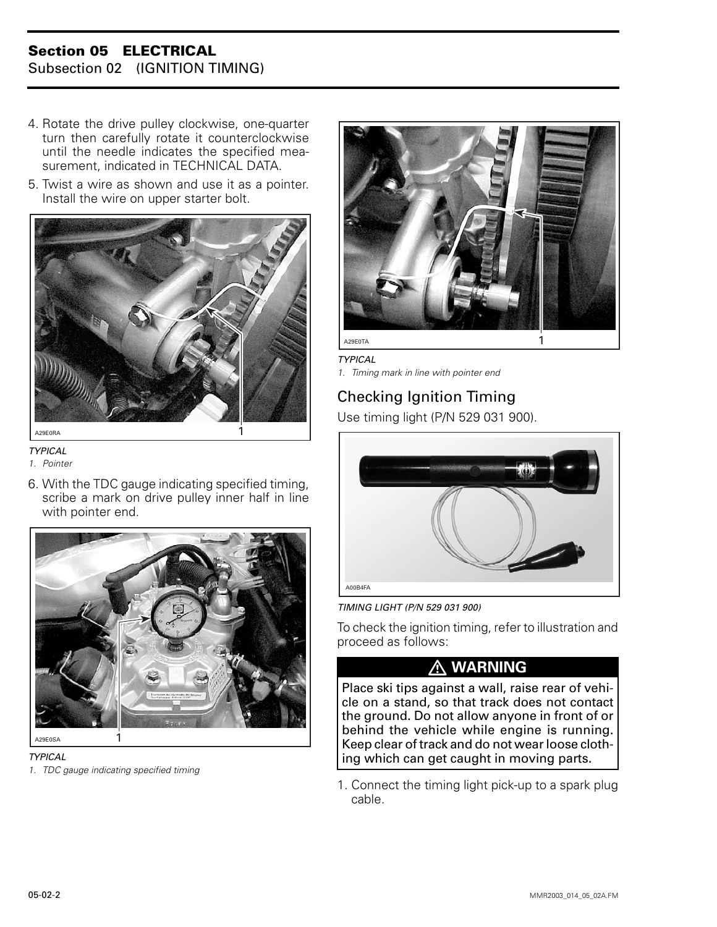### **Section 05 ELECTRICAL** Subsection 02 (IGNITION TIMING)

- 4. Rotate the drive pulley clockwise, one-quarter turn then carefully rotate it counterclockwise until the needle indicates the specified measurement, indicated in TECHNICAL DATA.
- 5. Twist a wire as shown and use it as a pointer. Install the wire on upper starter bolt.



*TYPICAL*

*1. Pointer*

6. With the TDC gauge indicating specified timing, scribe a mark on drive pulley inner half in line with pointer end.





*1. TDC gauge indicating specified timing*



*TYPICAL*

*1. Timing mark in line with pointer end*

# Checking Ignition Timing

Use timing light (P/N 529 031 900).



*TIMING LIGHT (P/N 529 031 900)*

To check the ignition timing, refer to illustration and proceed as follows:

# **WARNING**

Place ski tips against a wall, raise rear of vehicle on a stand, so that track does not contact the ground. Do not allow anyone in front of or behind the vehicle while engine is running. Keep clear of track and do not wear loose clothing which can get caught in moving parts.

1. Connect the timing light pick-up to a spark plug cable.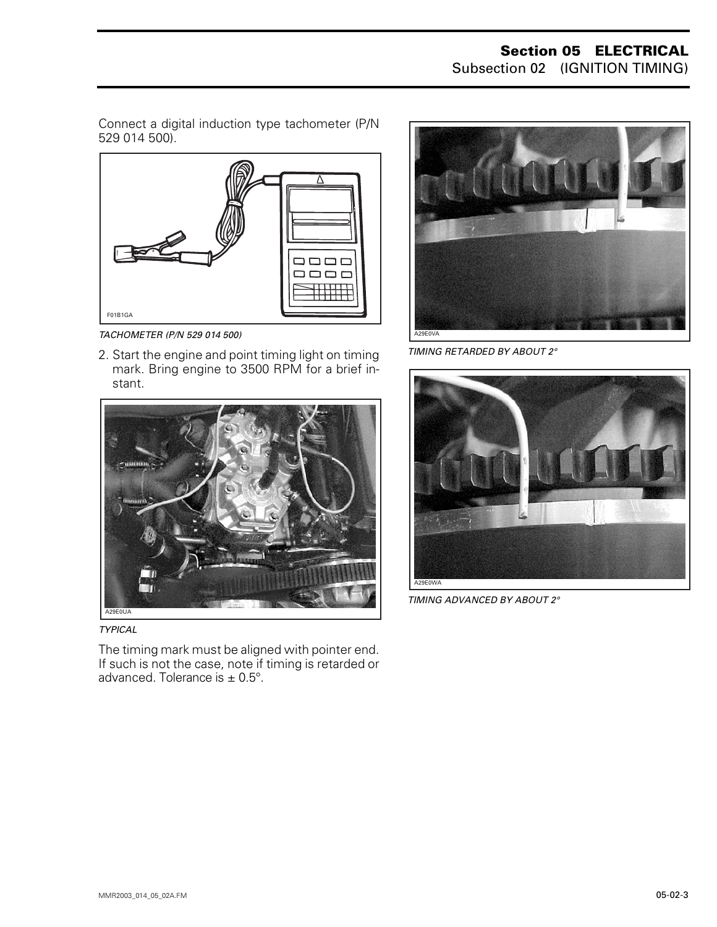Connect a digital induction type tachometer (P/N 529 014 500).



*TACHOMETER (P/N 529 014 500)*

2. Start the engine and point timing light on timing mark. Bring engine to 3500 RPM for a brief instant.





The timing mark must be aligned with pointer end. If such is not the case, note if timing is retarded or advanced. Tolerance is  $\pm$  0.5°.



*TIMING RETARDED BY ABOUT 2°*



*TIMING ADVANCED BY ABOUT 2°*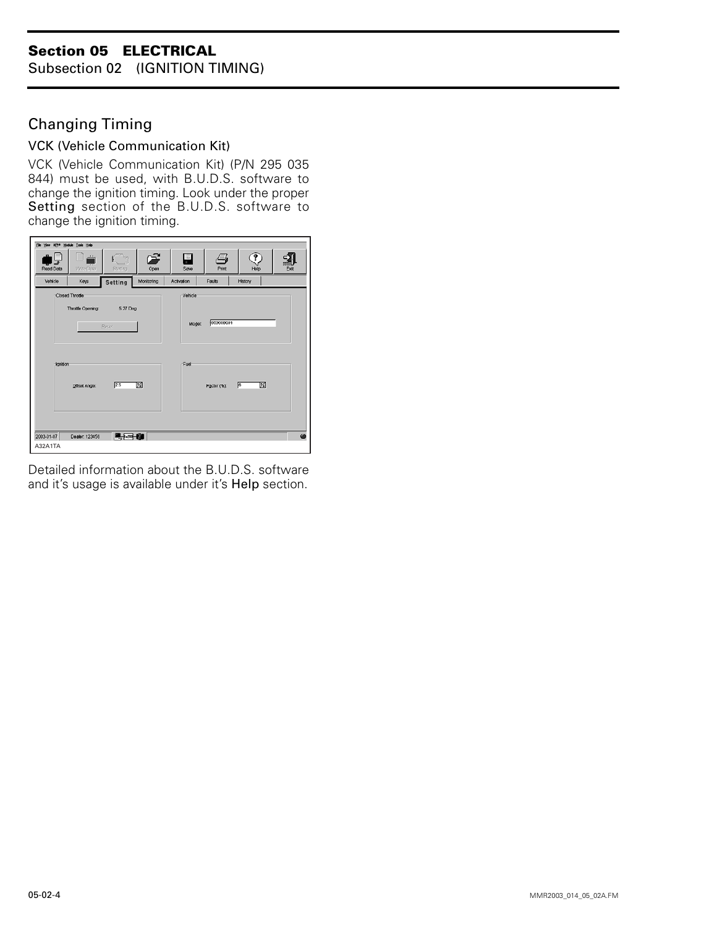### **Section 05 ELECTRICAL**

Subsection 02 (IGNITION TIMING)

## Changing Timing

#### VCK (Vehicle Communication Kit)

VCK (Vehicle Communication Kit) (P/N 295 035 844) must be used, with B.U.D.S. software to change the ignition timing. Look under the proper Setting section of the B.U.D.S. software to change the ignition timing.



Detailed information about the B.U.D.S. software and it's usage is available under it's Help section.